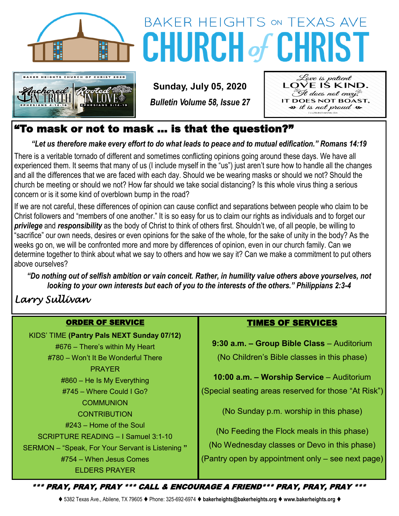

# KER HEIGHTS CHURCH OF CHRIST 2020

# **BAKER HEIGHTS ON TEXAS AVE CHURCH of CHRIS**

**Sunday, July 05, 2020**

*Bulletin Volume 58, Issue 27*



### "To mask or not to mask … is that the question?"

*"Let us therefore make every effort to do what leads to peace and to mutual edification." Romans 14:19*

There is a veritable tornado of different and sometimes conflicting opinions going around these days. We have all experienced them. It seems that many of us (I include myself in the "us") just aren't sure how to handle all the changes and all the differences that we are faced with each day. Should we be wearing masks or should we not? Should the church be meeting or should we not? How far should we take social distancing? Is this whole virus thing a serious concern or is it some kind of overblown bump in the road?

If we are not careful, these differences of opinion can cause conflict and separations between people who claim to be Christ followers and "members of one another." It is so easy for us to claim our rights as individuals and to forget our *privilege* and *responsibility* as the body of Christ to think of others first. Shouldn't we, of all people, be willing to "sacrifice" our own needs, desires or even opinions for the sake of the whole, for the sake of unity in the body? As the weeks go on, we will be confronted more and more by differences of opinion, even in our church family. Can we determine together to think about what we say to others and how we say it? Can we make a commitment to put others above ourselves?

*"Do nothing out of selfish ambition or vain conceit. Rather, in humility value others above yourselves, not looking to your own interests but each of you to the interests of the others." Philippians 2:3-4*

## *Larry Sullivan*

#### ORDER OF SERVICE

KIDS' TIME **(Pantry Pals NEXT Sunday 07/12)** #676 – There's within My Heart #780 – Won't It Be Wonderful There PRAYER #860 – He Is My Everything #745 – Where Could I Go? **COMMUNION CONTRIBUTION** #243 – Home of the Soul SCRIPTURE READING – I Samuel 3:1-10 SERMON – "Speak, For Your Servant is Listening **"** #754 – When Jesus Comes ELDERS PRAYER

#### TIMES OF SERVICES

**9:30 a.m. – Group Bible Class** – Auditorium (No Children's Bible classes in this phase)

**10:00 a.m. – Worship Service** – Auditorium

(Special seating areas reserved for those "At Risk")

(No Sunday p.m. worship in this phase)

(No Feeding the Flock meals in this phase) (No Wednesday classes or Devo in this phase) (Pantry open by appointment only – see next page)

\*\*\* PRAY, PRAY, PRAY \*\*\* CALL & ENCOURAGE A FRIEND\*\*\* PRAY, PRAY, PRAY \*\*\*

⧫ 5382 Texas Ave., Abilene, TX 79605 ⧫ Phone: 325-692-6974 ⧫ **bakerheights@bakerheights.org** ⧫ **www.bakerheights.org** ⧫